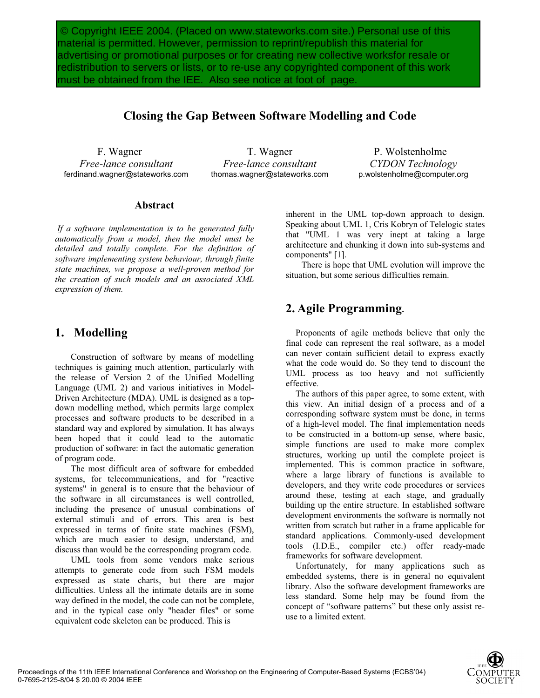© Copyright IEEE 2004. (Placed on www.stateworks.com site.) Personal use of this material is permitted. However, permission to reprint/republish this material for advertising or promotional purposes or for creating new collective worksfor resale or redistribution to servers or lists, or to re-use any copyrighted component of this work must be obtained from the IEE. Also see notice at foot of page.

# **Closing the Gap Between Software Modelling and Code**

 F. Wagner *Free-lance consultant*  ferdinand.wagner@stateworks.com

T. Wagner *Free-lance consultant*  thomas.wagner@stateworks.com

P. Wolstenholme *CYDON Technology*  p.wolstenholme@computer.org

#### **Abstract**

 *If a software implementation is to be generated fully automatically from a model, then the model must be detailed and totally complete. For the definition of software implementing system behaviour, through finite state machines, we propose a well-proven method for the creation of such models and an associated XML expression of them.* 

### **1. Modelling**

Construction of software by means of modelling techniques is gaining much attention, particularly with the release of Version 2 of the Unified Modelling Language (UML 2) and various initiatives in Model-Driven Architecture (MDA). UML is designed as a topdown modelling method, which permits large complex processes and software products to be described in a standard way and explored by simulation. It has always been hoped that it could lead to the automatic production of software: in fact the automatic generation of program code.

The most difficult area of software for embedded systems, for telecommunications, and for "reactive systems" in general is to ensure that the behaviour of the software in all circumstances is well controlled, including the presence of unusual combinations of external stimuli and of errors. This area is best expressed in terms of finite state machines (FSM), which are much easier to design, understand, and discuss than would be the corresponding program code.

UML tools from some vendors make serious attempts to generate code from such FSM models expressed as state charts, but there are major difficulties. Unless all the intimate details are in some way defined in the model, the code can not be complete, and in the typical case only "header files" or some equivalent code skeleton can be produced. This is

inherent in the UML top-down approach to design. Speaking about UML 1, Cris Kobryn of Telelogic states that "UML 1 was very inept at taking a large architecture and chunking it down into sub-systems and components" [1].

There is hope that UML evolution will improve the situation, but some serious difficulties remain.

## **2. Agile Programming.**

Proponents of agile methods believe that only the final code can represent the real software, as a model can never contain sufficient detail to express exactly what the code would do. So they tend to discount the UML process as too heavy and not sufficiently effective.

The authors of this paper agree, to some extent, with this view. An initial design of a process and of a corresponding software system must be done, in terms of a high-level model. The final implementation needs to be constructed in a bottom-up sense, where basic, simple functions are used to make more complex structures, working up until the complete project is implemented. This is common practice in software, where a large library of functions is available to developers, and they write code procedures or services around these, testing at each stage, and gradually building up the entire structure. In established software development environments the software is normally not written from scratch but rather in a frame applicable for standard applications. Commonly-used development tools (I.D.E., compiler etc.) offer ready-made frameworks for software development.

Unfortunately, for many applications such as embedded systems, there is in general no equivalent library. Also the software development frameworks are less standard. Some help may be found from the concept of "software patterns" but these only assist reuse to a limited extent.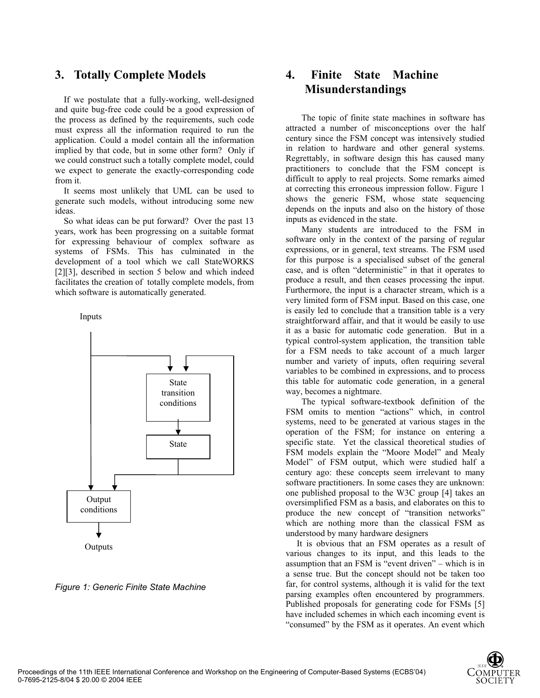## **3. Totally Complete Models**

 If we postulate that a fully-working, well-designed and quite bug-free code could be a good expression of the process as defined by the requirements, such code must express all the information required to run the application. Could a model contain all the information implied by that code, but in some other form? Only if we could construct such a totally complete model, could we expect to generate the exactly-corresponding code from it.

 It seems most unlikely that UML can be used to generate such models, without introducing some new ideas.

 So what ideas can be put forward? Over the past 13 years, work has been progressing on a suitable format for expressing behaviour of complex software as systems of FSMs. This has culminated in the development of a tool which we call StateWORKS [2][3], described in section 5 below and which indeed facilitates the creation of totally complete models, from which software is automatically generated.

Inputs



*Figure 1: Generic Finite State Machine* 

# **4. Finite State Machine Misunderstandings**

The topic of finite state machines in software has attracted a number of misconceptions over the half century since the FSM concept was intensively studied in relation to hardware and other general systems. Regrettably, in software design this has caused many practitioners to conclude that the FSM concept is difficult to apply to real projects. Some remarks aimed at correcting this erroneous impression follow. Figure 1 shows the generic FSM, whose state sequencing depends on the inputs and also on the history of those inputs as evidenced in the state.

Many students are introduced to the FSM in software only in the context of the parsing of regular expressions, or in general, text streams. The FSM used for this purpose is a specialised subset of the general case, and is often "deterministic" in that it operates to produce a result, and then ceases processing the input. Furthermore, the input is a character stream, which is a very limited form of FSM input. Based on this case, one is easily led to conclude that a transition table is a very straightforward affair, and that it would be easily to use it as a basic for automatic code generation. But in a typical control-system application, the transition table for a FSM needs to take account of a much larger number and variety of inputs, often requiring several variables to be combined in expressions, and to process this table for automatic code generation, in a general way, becomes a nightmare.

The typical software-textbook definition of the FSM omits to mention "actions" which, in control systems, need to be generated at various stages in the operation of the FSM; for instance on entering a specific state. Yet the classical theoretical studies of FSM models explain the "Moore Model" and Mealy Model" of FSM output, which were studied half a century ago: these concepts seem irrelevant to many software practitioners. In some cases they are unknown: one published proposal to the W3C group [4] takes an oversimplified FSM as a basis, and elaborates on this to produce the new concept of "transition networks" which are nothing more than the classical FSM as understood by many hardware designers

 It is obvious that an FSM operates as a result of various changes to its input, and this leads to the assumption that an FSM is "event driven" – which is in a sense true. But the concept should not be taken too far, for control systems, although it is valid for the text parsing examples often encountered by programmers. Published proposals for generating code for FSMs [5] have included schemes in which each incoming event is "consumed" by the FSM as it operates. An event which

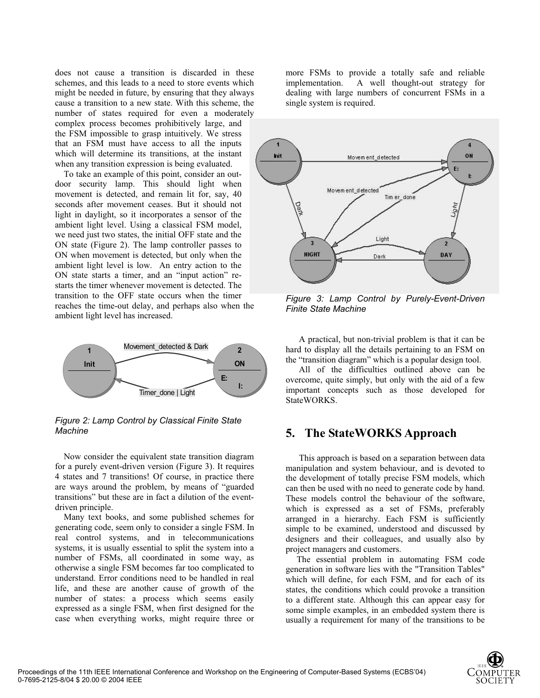does not cause a transition is discarded in these schemes, and this leads to a need to store events which might be needed in future, by ensuring that they always cause a transition to a new state. With this scheme, the number of states required for even a moderately complex process becomes prohibitively large, and the FSM impossible to grasp intuitively. We stress that an FSM must have access to all the inputs which will determine its transitions, at the instant when any transition expression is being evaluated.

 To take an example of this point, consider an outdoor security lamp. This should light when movement is detected, and remain lit for, say, 40 seconds after movement ceases. But it should not light in daylight, so it incorporates a sensor of the ambient light level. Using a classical FSM model, we need just two states, the initial OFF state and the ON state (Figure 2). The lamp controller passes to ON when movement is detected, but only when the ambient light level is low. An entry action to the ON state starts a timer, and an "input action" restarts the timer whenever movement is detected. The transition to the OFF state occurs when the timer reaches the time-out delay, and perhaps also when the ambient light level has increased.



*Figure 2: Lamp Control by Classical Finite State* 

 Now consider the equivalent state transition diagram for a purely event-driven version (Figure 3). It requires 4 states and 7 transitions! Of course, in practice there are ways around the problem, by means of "guarded transitions" but these are in fact a dilution of the eventdriven principle.

 Many text books, and some published schemes for generating code, seem only to consider a single FSM. In real control systems, and in telecommunications systems, it is usually essential to split the system into a number of FSMs, all coordinated in some way, as otherwise a single FSM becomes far too complicated to understand. Error conditions need to be handled in real life, and these are another cause of growth of the number of states: a process which seems easily expressed as a single FSM, when first designed for the case when everything works, might require three or more FSMs to provide a totally safe and reliable implementation. A well thought-out strategy for dealing with large numbers of concurrent FSMs in a single system is required.



*Figure 3: Lamp Control by Purely-Event-Driven* 

 A practical, but non-trivial problem is that it can be hard to display all the details pertaining to an FSM on the "transition diagram" which is a popular design tool.

 All of the difficulties outlined above can be overcome, quite simply, but only with the aid of a few important concepts such as those developed for StateWORKS.

### **5. The StateWORKS Approach**

 This approach is based on a separation between data manipulation and system behaviour, and is devoted to the development of totally precise FSM models, which can then be used with no need to generate code by hand. These models control the behaviour of the software, which is expressed as a set of FSMs, preferably arranged in a hierarchy. Each FSM is sufficiently simple to be examined, understood and discussed by designers and their colleagues, and usually also by project managers and customers.

 The essential problem in automating FSM code generation in software lies with the "Transition Tables" which will define, for each FSM, and for each of its states, the conditions which could provoke a transition to a different state. Although this can appear easy for some simple examples, in an embedded system there is usually a requirement for many of the transitions to be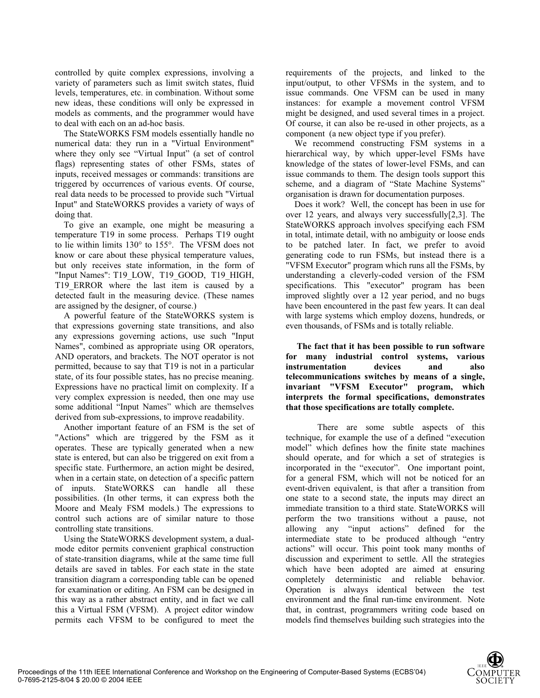controlled by quite complex expressions, involving a variety of parameters such as limit switch states, fluid levels, temperatures, etc. in combination. Without some new ideas, these conditions will only be expressed in models as comments, and the programmer would have to deal with each on an ad-hoc basis.

 The StateWORKS FSM models essentially handle no numerical data: they run in a "Virtual Environment" where they only see "Virtual Input" (a set of control flags) representing states of other FSMs, states of inputs, received messages or commands: transitions are triggered by occurrences of various events. Of course, real data needs to be processed to provide such "Virtual Input" and StateWORKS provides a variety of ways of doing that.

 To give an example, one might be measuring a temperature T19 in some process. Perhaps T19 ought to lie within limits 130° to 155°. The VFSM does not know or care about these physical temperature values, but only receives state information, in the form of "Input Names": T19\_LOW, T19\_GOOD, T19\_HIGH, T19 ERROR where the last item is caused by a detected fault in the measuring device. (These names are assigned by the designer, of course.)

 A powerful feature of the StateWORKS system is that expressions governing state transitions, and also any expressions governing actions, use such "Input Names", combined as appropriate using OR operators, AND operators, and brackets. The NOT operator is not permitted, because to say that T19 is not in a particular state, of its four possible states, has no precise meaning. Expressions have no practical limit on complexity. If a very complex expression is needed, then one may use some additional "Input Names" which are themselves derived from sub-expressions, to improve readability.

 Another important feature of an FSM is the set of "Actions" which are triggered by the FSM as it operates. These are typically generated when a new state is entered, but can also be triggered on exit from a specific state. Furthermore, an action might be desired, when in a certain state, on detection of a specific pattern of inputs. StateWORKS can handle all these possibilities. (In other terms, it can express both the Moore and Mealy FSM models.) The expressions to control such actions are of similar nature to those controlling state transitions.

 Using the StateWORKS development system, a dualmode editor permits convenient graphical construction of state-transition diagrams, while at the same time full details are saved in tables. For each state in the state transition diagram a corresponding table can be opened for examination or editing. An FSM can be designed in this way as a rather abstract entity, and in fact we call this a Virtual FSM (VFSM). A project editor window permits each VFSM to be configured to meet the requirements of the projects, and linked to the input/output, to other VFSMs in the system, and to issue commands. One VFSM can be used in many instances: for example a movement control VFSM might be designed, and used several times in a project. Of course, it can also be re-used in other projects, as a component (a new object type if you prefer).

 We recommend constructing FSM systems in a hierarchical way, by which upper-level FSMs have knowledge of the states of lower-level FSMs, and can issue commands to them. The design tools support this scheme, and a diagram of "State Machine Systems" organisation is drawn for documentation purposes.

 Does it work? Well, the concept has been in use for over 12 years, and always very successfully[2,3]. The StateWORKS approach involves specifying each FSM in total, intimate detail, with no ambiguity or loose ends to be patched later. In fact, we prefer to avoid generating code to run FSMs, but instead there is a "VFSM Executor" program which runs all the FSMs, by understanding a cleverly-coded version of the FSM specifications. This "executor" program has been improved slightly over a 12 year period, and no bugs have been encountered in the past few years. It can deal with large systems which employ dozens, hundreds, or even thousands, of FSMs and is totally reliable.

 **The fact that it has been possible to run software for many industrial control systems, various instrumentation devices and also telecommunications switches by means of a single, invariant "VFSM Executor" program, which interprets the formal specifications, demonstrates that those specifications are totally complete.** 

 There are some subtle aspects of this technique, for example the use of a defined "execution model" which defines how the finite state machines should operate, and for which a set of strategies is incorporated in the "executor". One important point, for a general FSM, which will not be noticed for an event-driven equivalent, is that after a transition from one state to a second state, the inputs may direct an immediate transition to a third state. StateWORKS will perform the two transitions without a pause, not allowing any "input actions" defined for the intermediate state to be produced although "entry actions" will occur. This point took many months of discussion and experiment to settle. All the strategies which have been adopted are aimed at ensuring completely deterministic and reliable behavior. Operation is always identical between the test environment and the final run-time environment. Note that, in contrast, programmers writing code based on models find themselves building such strategies into the

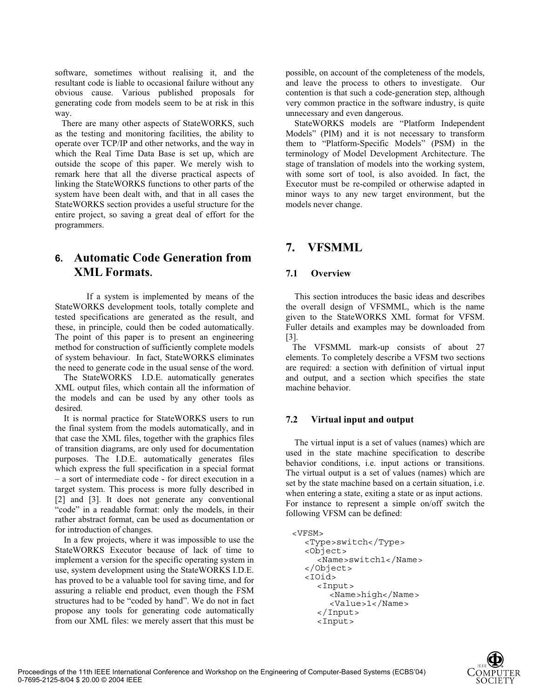software, sometimes without realising it, and the resultant code is liable to occasional failure without any obvious cause. Various published proposals for generating code from models seem to be at risk in this way.

 There are many other aspects of StateWORKS, such as the testing and monitoring facilities, the ability to operate over TCP/IP and other networks, and the way in which the Real Time Data Base is set up, which are outside the scope of this paper. We merely wish to remark here that all the diverse practical aspects of linking the StateWORKS functions to other parts of the system have been dealt with, and that in all cases the StateWORKS section provides a useful structure for the entire project, so saving a great deal of effort for the programmers.

# **6. Automatic Code Generation from XML Formats.**

 If a system is implemented by means of the StateWORKS development tools, totally complete and tested specifications are generated as the result, and these, in principle, could then be coded automatically. The point of this paper is to present an engineering method for construction of sufficiently complete models of system behaviour. In fact, StateWORKS eliminates the need to generate code in the usual sense of the word.

 The StateWORKS I.D.E. automatically generates XML output files, which contain all the information of the models and can be used by any other tools as desired.

 It is normal practice for StateWORKS users to run the final system from the models automatically, and in that case the XML files, together with the graphics files of transition diagrams, are only used for documentation purposes. The I.D.E. automatically generates files which express the full specification in a special format – a sort of intermediate code - for direct execution in a target system. This process is more fully described in [2] and [3]. It does not generate any conventional "code" in a readable format: only the models, in their rather abstract format, can be used as documentation or for introduction of changes.

 In a few projects, where it was impossible to use the StateWORKS Executor because of lack of time to implement a version for the specific operating system in use, system development using the StateWORKS I.D.E. has proved to be a valuable tool for saving time, and for assuring a reliable end product, even though the FSM structures had to be "coded by hand". We do not in fact propose any tools for generating code automatically from our XML files: we merely assert that this must be possible, on account of the completeness of the models, and leave the process to others to investigate. Our contention is that such a code-generation step, although very common practice in the software industry, is quite unnecessary and even dangerous.

 StateWORKS models are "Platform Independent Models" (PIM) and it is not necessary to transform them to "Platform-Specific Models" (PSM) in the terminology of Model Development Architecture. The stage of translation of models into the working system, with some sort of tool, is also avoided. In fact, the Executor must be re-compiled or otherwise adapted in minor ways to any new target environment, but the models never change.

# **7. VFSMML**

#### **7.1 Overview**

 This section introduces the basic ideas and describes the overall design of VFSMML, which is the name given to the StateWORKS XML format for VFSM. Fuller details and examples may be downloaded from [3].

 The VFSMML mark-up consists of about 27 elements. To completely describe a VFSM two sections are required: a section with definition of virtual input and output, and a section which specifies the state machine behavior.

### **7.2 Virtual input and output**

 The virtual input is a set of values (names) which are used in the state machine specification to describe behavior conditions, i.e. input actions or transitions. The virtual output is a set of values (names) which are set by the state machine based on a certain situation, i.e. when entering a state, exiting a state or as input actions. For instance to represent a simple on/off switch the following VFSM can be defined:

```
<VFSM>
  <Type>switch</Type>
  <Object>
     <Name>switch1</Name>
  </Object>
  <IOid>
     <Input>
       <Name>high</Name>
       <Value>1</Name>
     </Input>
     <Input>
```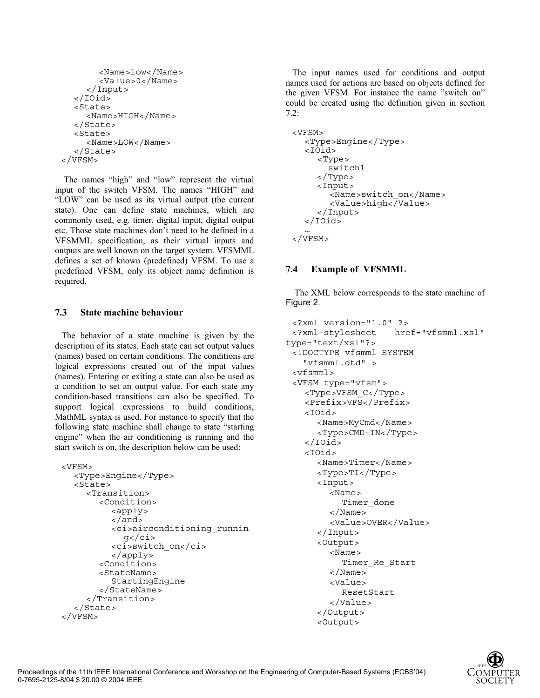```
<Name>low</Name>
       <Value>0</Name>
     </Input>
  </IOid>
  <State>
     <Name>HIGH</Name>
  </State>
  <State>
     <Name>LOW</Name>
  </State>
</VFSM>
```
 The names "high" and "low" represent the virtual input of the switch VFSM. The names "HIGH" and "LOW" can be used as its virtual output (the current state). One can define state machines, which are commonly used, e.g. timer, digital input, digital output etc. Those state machines don't need to be defined in a VFSMML specification, as their virtual inputs and outputs are well known on the target system. VFSMML defines a set of known (predefined) VFSM. To use a predefined VFSM, only its object name definition is required.

#### **7.3 State machine behaviour**

 The behavior of a state machine is given by the description of its states. Each state can set output values (names) based on certain conditions. The conditions are logical expressions created out of the input values (names). Entering or exiting a state can also be used as a condition to set an output value. For each state any condition-based transitions can also be specified. To support logical expressions to build conditions, MathML syntax is used. For instance to specify that the following state machine shall change to state "starting engine" when the air conditioning is running and the start switch is on, the description below can be used:

```
<VFSM>
  <Type>Engine</Type>
  <State>
     <Transition>
       <Condition>
          <apply>
          </and>
          <ci>airconditioning_runnin
            g</ci>
          <ci>switch_on</ci>
          </apply>
       <Condition>
       <StateName>
          StartingEngine
       </StateName>
     </Transition>
  </State>
</VFSM>
```
 The input names used for conditions and output names used for actions are based on objects defined for the given VFSM. For instance the name "switch\_on" could be created using the definition given in section 7.2:

```
<VFSM>
  <Type>Engine</Type>
  <IOid>
     <Type>
        switch1 
     </Type>
     <Input>
       <Name>switch_on</Name>
       <Value>high</Value>
     </Input>
  </IOid>
  …
</VFSM>
```
### **7.4 Example of VFSMML**

 The XML below corresponds to the state machine of Figure 2.

```
<?xml version="1.0" ?> 
 <?xml-stylesheet href="vfsmml.xsl" 
type="text/xsl"?>
 <!DOCTYPE vfsmml SYSTEM
    "vfsmml.dtd" > 
 <vfsmml>
 <VFSM type="vfsm"> 
   <Type>VFSM_C</Type>
   <Prefix>VFS</Prefix>
   <IOid>
      <Name>MyCmd</Name>
      <Type>CMD-IN</Type>
   </IOid>
   <IOid>
      <Name>Timer</Name>
      <Type>TI</Type>
      <Input>
        <Name>
           Timer_done
        </Name>
        <Value>OVER</Value>
      </Input>
      <Output>
        <Name>
           Timer Re Start
        </Name>
        <Value>
           ResetStart
        </Value>
      </Output>
      <Output>
```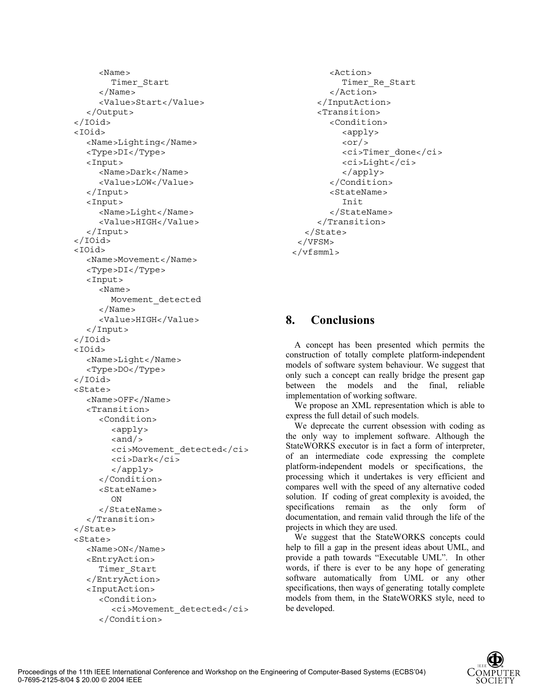```
<Name>
       Timer Start
     </Name>
     <Value>Start</Value>
  </Output>
</IOid>
<IOid>
  <Name>Lighting</Name>
  <Type>DI</Type>
  <Input>
     <Name>Dark</Name>
     <Value>LOW</Value>
  </Input>
  <Input>
     <Name>Light</Name>
     <Value>HIGH</Value>
  </Input>
</IOid>
<IOid>
  <Name>Movement</Name>
  <Type>DI</Type>
  <Input>
     <Name>
       Movement_detected
     </Name>
     <Value>HIGH</Value>
  </Input>
</IOid>
<IOid>
  <Name>Light</Name>
  <Type>DO</Type>
</IOid>
<State>
  <Name>OFF</Name>
  <Transition>
     <Condition>
       <apply>
       \langle and \rangle<ci>Movement_detected</ci>
       <ci>Dark</ci>
       </apply>
     </Condition>
     <StateName>
       \cap<sub>N</sub>
     </StateName>
  </Transition>
</State>
<State>
  <Name>ON</Name>
  <EntryAction>
     Timer_Start
  </EntryAction>
  <InputAction>
     <Condition>
       <ci>Movement_detected</ci>
     </Condition>
```

```
<Action>
          Timer Re Start
       </Action>
     </InputAction>
     <Transition>
       <Condition>
          <apply>
          <or/>
          <ci>Timer_done</ci>
          <ci>Light</ci>
          </apply>
       </Condition>
       <StateName>
          Init
       </StateName>
     </Transition>
  </State>
  </VFSM> 
</vfsmml>
```
# **8. Conclusions**

 A concept has been presented which permits the construction of totally complete platform-independent models of software system behaviour. We suggest that only such a concept can really bridge the present gap between the models and the final, reliable implementation of working software.

 We propose an XML representation which is able to express the full detail of such models.

 We deprecate the current obsession with coding as the only way to implement software. Although the StateWORKS executor is in fact a form of interpreter, of an intermediate code expressing the complete platform-independent models or specifications, the processing which it undertakes is very efficient and compares well with the speed of any alternative coded solution. If coding of great complexity is avoided, the specifications remain as the only form of documentation, and remain valid through the life of the projects in which they are used.

 We suggest that the StateWORKS concepts could help to fill a gap in the present ideas about UML, and provide a path towards "Executable UML". In other words, if there is ever to be any hope of generating software automatically from UML or any other specifications, then ways of generating totally complete models from them, in the StateWORKS style, need to be developed.